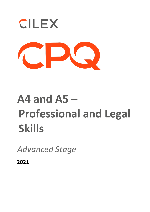

# **A4 and A5 – Professional and Legal Skills**

*Advanced Stage* 

**2021**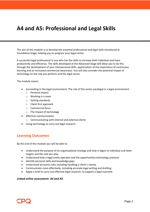## **A4 and A5: Professional and Legal Skills**

The aim of this module is to develop the essential professional and legal skills introduced at Foundation Stage, helping you to progress your legal career.

A successful legal professional is one who has the skills to increase both individual and team productivity and efficiency. The skills developed at the Advanced Stage will allow you to do this through the development of your interpersonal skills, appreciation of the importance of continuous learning and an increased commercial awareness. You will also consider the potential impact of technology on the role you perform and the legal sector.

The module covers:

- Succeeding in the legal environment; The role of the senior paralegal in a legal environment
	- o Personal impact
	- o Working in a team
	- o Setting standards
	- o Client first approach
	- o Commercial focus
	- o The impact of technology
- **Effective communication** 
	- o Communicating with internal and external clients
- Using technology to carry out legal research

#### **Learning Outcomes**

By the end of this module you will be able to:

- Understand the purpose of an organisational strategy and how it aligns to individual and team targets and the role you play
- Understand how a legal entity operates and the opportunities technology presents
- Identify personal skills and knowledge gaps
- Understand accounts rules including handling a client's money
- Communicate more effectively, including accurate legal writing and drafting
- Apply a brief to carry out effective legal research, to support a legal outcome

#### *Linked online assessment: A4 and A5*

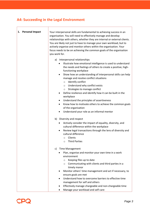## **A4: Succeeding in the Legal Environment**

| 1. Personal Impact | Your interpersonal skills are fundamental to achieving success in an<br>organisation. You will need to effectively manage and develop<br>relationships with others, whether they are internal or external clients.<br>You are likely not just to have to manage your own workload, but to<br>actively organise and monitor others within the organisation. Your<br>focus needs to be on achieving the common goals of the organisation<br>you work for.<br>Interpersonal relationships<br>a) |
|--------------------|----------------------------------------------------------------------------------------------------------------------------------------------------------------------------------------------------------------------------------------------------------------------------------------------------------------------------------------------------------------------------------------------------------------------------------------------------------------------------------------------|
|                    | Illustrate how emotional intelligence is used to understand<br>$\bullet$<br>the needs and feelings of others to create a positive, high-<br>functioning workplace<br>Show how an understanding of interpersonal skills can help<br>$\bullet$                                                                                                                                                                                                                                                 |
|                    | manage and resolve conflict situations<br>Identify conflict<br>$\circ$<br>o Understand why conflict exists<br>o Strategies to manage conflict                                                                                                                                                                                                                                                                                                                                                |
|                    | Define resilience and identify how it can be built in the<br>٠<br>workplace                                                                                                                                                                                                                                                                                                                                                                                                                  |
|                    | Understand the principles of assertiveness<br>Know how to motivate others to achieve the common goals                                                                                                                                                                                                                                                                                                                                                                                        |
|                    | of the organisation<br>Understand your role as an informal mentor                                                                                                                                                                                                                                                                                                                                                                                                                            |
|                    | b) Diversity and respect                                                                                                                                                                                                                                                                                                                                                                                                                                                                     |
|                    | Actively consider the impact of equality, diversity, and<br>cultural difference within the workplace                                                                                                                                                                                                                                                                                                                                                                                         |
|                    | Review legal transactions through the lens of diversity and<br>$\bullet$<br>cultural difference<br>Clients<br>O<br><b>Third Parties</b><br>$\Omega$                                                                                                                                                                                                                                                                                                                                          |
|                    | <b>Time Management</b><br>C)                                                                                                                                                                                                                                                                                                                                                                                                                                                                 |
|                    | Plan, organise and monitor your own time in a work<br>environment                                                                                                                                                                                                                                                                                                                                                                                                                            |
|                    | Keeping files up to date<br>$\circ$<br>Communicating with clients and third parties in a<br>$\circ$<br>timely manor                                                                                                                                                                                                                                                                                                                                                                          |
|                    | Monitor others' time management and act if necessary, to<br>ensure goals are met                                                                                                                                                                                                                                                                                                                                                                                                             |
|                    | Understand how to overcome barriers to effective time<br>management for self and others                                                                                                                                                                                                                                                                                                                                                                                                      |
|                    | Effectively manage chargeable and non-chargeable time<br>Manage your workload and self-care                                                                                                                                                                                                                                                                                                                                                                                                  |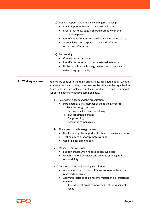|                         | d) Building rapport and effective working relationships<br>Build rapport with internal and external clients<br>Ensure that knowledge is shared promptly with the<br>٠<br>appropriate person<br>Identify opportunities to share knowledge and resources<br>٠<br>Acknowledge and respond to the needs of others;<br>٠<br>respecting differences<br>e) Networking<br>Create internal networks<br>Identify the potential to create external networks<br>$\bullet$<br>Understand how technology can be used to create a<br>٠<br>networking opportunity |
|-------------------------|---------------------------------------------------------------------------------------------------------------------------------------------------------------------------------------------------------------------------------------------------------------------------------------------------------------------------------------------------------------------------------------------------------------------------------------------------------------------------------------------------------------------------------------------------|
| Working in a team<br>2. | You will be central to the team achieving its designated goals, whether<br>you have set them, or they have been set by others in the organisation.<br>You should use technology to enhance working in a team, personally<br>supporting others to achieve common goals.                                                                                                                                                                                                                                                                            |
|                         | a) Role within a team and the organisation<br>Participate as a key member of the team in order to<br>achieve the designated goals:<br>Setting deadlines and prioritising<br>O<br><b>SMART</b> action planning<br>O<br><b>Target setting</b><br>$\circ$<br>Accepting responsibility<br>$\circ$                                                                                                                                                                                                                                                     |
|                         | b) The impact of technology on teams<br>Use technology to support and enhance team collaboration<br>٠<br>Technology to support remote working<br>Use of digital planning tools<br>$\bullet$                                                                                                                                                                                                                                                                                                                                                       |
|                         | Manage team workload<br>C)<br>Support others when needed to achieve goals<br>Understand the principles and benefits of delegated<br>responsibility                                                                                                                                                                                                                                                                                                                                                                                                |
|                         | d) Decision making and developing solutions<br>Analyse information from different sources to develop a<br>reasoned conclusion<br>Apply strategies to challenge information in a professional<br>manner<br>Considerer alternative views and test the validity of<br>O<br>ideas                                                                                                                                                                                                                                                                     |

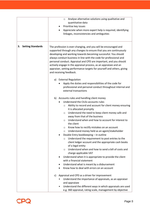|                                | Analyse alternative solutions using qualitative and<br>$\circ$<br>quantitative data<br>Prioritise key issues<br>Appreciate when more expert help is required, identifying<br>linkages, inconsistencies and ambiguities                                                                                                                                                                                                                                                                                                                                                                                                                                                                                                                                                                                                                                                                                                                               |
|--------------------------------|------------------------------------------------------------------------------------------------------------------------------------------------------------------------------------------------------------------------------------------------------------------------------------------------------------------------------------------------------------------------------------------------------------------------------------------------------------------------------------------------------------------------------------------------------------------------------------------------------------------------------------------------------------------------------------------------------------------------------------------------------------------------------------------------------------------------------------------------------------------------------------------------------------------------------------------------------|
| <b>Setting Standards</b><br>3. | The profession is ever-changing, and you will be encouraged and<br>supported through any changes to ensure that you are continuously<br>developing and working towards becoming successful. You should<br>always conduct business in line with the code for professional and<br>personal conduct. Appraisal and CPD are important, and you should<br>actively engage in the appraisal process, as an appraisee and an<br>appraiser, setting performance targets for yourself and others, giving<br>and receiving feedback.<br>a) External Regulation                                                                                                                                                                                                                                                                                                                                                                                                 |
|                                | Apply the duties and responsibilities of the code for<br>professional and personal conduct throughout internal and<br>external transactions                                                                                                                                                                                                                                                                                                                                                                                                                                                                                                                                                                                                                                                                                                                                                                                                          |
|                                | b) Accounts rules and handling client money<br>Understand the CILEx accounts rules<br>Ability to record and account for client money ensuring<br>$\circ$<br>it is allocated promptly<br>Understand the need to keep client money safe and<br>$\circ$<br>away from that of the business<br>Understand when and how to account for interest to<br>$\circ$<br>the client<br>Know how to rectify mistakes on an account<br>O<br>Understand money held as an agent/stakeholder<br>O<br>Double Entry bookkeeping - in outline<br>Understand the requirement to post entries to the<br>$\circ$<br>client ledger account and the appropriate cash books<br>of a legal entity<br>Understand when and how to send a bill of costs and<br>$\circ$<br>charge applicable VAT<br>Understand when it is appropriate to provide the client<br>with a financial statement<br>Understand what is meant by a disbursement<br>Know how to deal with errors on an account |
|                                | Appraisal and CPD as a driver for improvement<br>C)<br>Understand the importance of appraisals, as an appraiser<br>and appraisee<br>Understand the different ways in which appraisals are used<br>٠<br>e.g. 360 appraisal, rating scale, management by objective                                                                                                                                                                                                                                                                                                                                                                                                                                                                                                                                                                                                                                                                                     |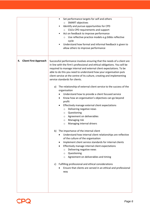|                                    | Set performance targets for self and others<br>٠<br><b>SMART objectives</b><br>$\circ$<br>Identify and pursue opportunities for CPD<br>CILEx CPD requirements and support<br>$\circ$<br>Act on feedback to improve performance<br>Use reflective practice models e.g.Gibbs reflective<br>$\circ$<br>cycle<br>Understand how formal and informal feedback is given to<br>allow others to improve performance                                                                                                                                                                                                                                                                                                                                                                                                                                                                                                                                                                                                                                                                                                                                                                                                                                                                                                                                                                        |
|------------------------------------|------------------------------------------------------------------------------------------------------------------------------------------------------------------------------------------------------------------------------------------------------------------------------------------------------------------------------------------------------------------------------------------------------------------------------------------------------------------------------------------------------------------------------------------------------------------------------------------------------------------------------------------------------------------------------------------------------------------------------------------------------------------------------------------------------------------------------------------------------------------------------------------------------------------------------------------------------------------------------------------------------------------------------------------------------------------------------------------------------------------------------------------------------------------------------------------------------------------------------------------------------------------------------------------------------------------------------------------------------------------------------------|
| <b>Client First Approach</b><br>4. | Successful performance involves ensuring that the needs of a client are<br>in line with the firm's professional and ethical obligations. You will be<br>required to manage internal and external client expectations. To be<br>able to do this you need to understand how your organisation puts<br>client service at the centre of its culture, creating and implementing<br>service standards for clients.<br>The relationship of external client service to the success of the<br>a)<br>organisation<br>Understand how to provide a client focused service<br>Know how an organisation's objectives can go beyond<br>profit<br>Effectively manage external client expectations<br>Delivering negative news<br>$\circ$<br>Questioning<br>$\circ$<br>Agreement on deliverables<br>$\circ$<br>Managing risk<br>$\circ$<br>Managing internal drivers<br>O<br>The importance of the internal client<br>b)<br>Understand how internal client relationships are reflective<br>of the culture of the organisation<br>Implement client service standards for internal clients<br>Effectively manage internal client expectations<br>Delivering negative news<br>$\circ$<br>Questioning<br>$\circ$<br>Agreement on deliverables and timing<br>$\circ$<br>Fulfilling professional and ethical considerations<br>C)<br>Ensure that clients are served in an ethical and professional<br>way |

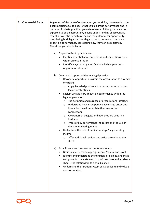| 5. Commercial Focus | Regardless of the type of organisation you work for, there needs to be<br>a commercial focus to ensure that you maximise performance and in<br>the case of private practice, generate revenue. Although you are not<br>expected to be an accountant, a basic understanding of accounts is<br>essential. You also need to recognise the potential for opportunity,<br>considering both legal and non-legal aspects, be aware of what can<br>impact on performance, considering how they can be mitigated.<br>Therefore, you should know:                                                                                                                                                                                                                                                                                                    |
|---------------------|--------------------------------------------------------------------------------------------------------------------------------------------------------------------------------------------------------------------------------------------------------------------------------------------------------------------------------------------------------------------------------------------------------------------------------------------------------------------------------------------------------------------------------------------------------------------------------------------------------------------------------------------------------------------------------------------------------------------------------------------------------------------------------------------------------------------------------------------|
|                     | a) Opportunities to practice law<br>Identify potential non-contentious and contentious work<br>within an organisation<br>Identify ways of mitigating factors which impact on an<br>$\bullet$<br>organisation structure                                                                                                                                                                                                                                                                                                                                                                                                                                                                                                                                                                                                                     |
|                     | b) Commercial opportunities in a legal practice<br>Recognise opportunities within the organisation to diversify<br>or expand<br>Apply knowledge of recent or current external issues<br>$\circ$<br>facing legal entities<br>Explain what factors impact on performance within the<br>٠<br>legal organisation<br>The definition and purpose of organisational strategy<br>$\circ$<br>Understand how a competitive advantage arises and<br>$\circ$<br>how a firm can differentiate themselves from<br>competitors.<br>Awareness of budgets and how they are used in a<br>$\circ$<br>business<br>Types of key performance indicators and the use of<br>$\circ$<br>them in motivating teams<br>Understand the role of 'senior paralegal' in generating<br>income<br>Offer additional services and articulate value to the<br>$\circ$<br>client |
|                     | Basic finance and business accounts awareness<br>C)<br>Basic finance terminology e.g. income/capital and profit<br>Identify and understand the function, principles, and main<br>$\bullet$<br>components of a statement of profit and loss and a balance<br>sheet - the relationship to a trial balance<br>Understand the taxation system as it applied to individuals<br>٠<br>and corporations                                                                                                                                                                                                                                                                                                                                                                                                                                            |

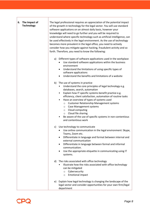|  | 6. The Impact of<br><b>Technology</b>                                                                                                                                                                                                                                                                                                                                                                                                                                                                                                                                  | The legal professional requires an appreciation of the potential impact<br>of the growth in technology for the legal sector. You will use standard<br>software applications on an almost daily basis, however your<br>knowledge will need to go further and you will be required to<br>understand where specific technology such as artificial intelligence, can<br>be used effectively in the legal environment. As the use of technology<br>becomes more prevalent in the legal office, you need to actively<br>consider how you mitigate against hacking, fraudulent activity and so<br>forth. Therefore, you need to know the following: |
|--|------------------------------------------------------------------------------------------------------------------------------------------------------------------------------------------------------------------------------------------------------------------------------------------------------------------------------------------------------------------------------------------------------------------------------------------------------------------------------------------------------------------------------------------------------------------------|----------------------------------------------------------------------------------------------------------------------------------------------------------------------------------------------------------------------------------------------------------------------------------------------------------------------------------------------------------------------------------------------------------------------------------------------------------------------------------------------------------------------------------------------------------------------------------------------------------------------------------------------|
|  |                                                                                                                                                                                                                                                                                                                                                                                                                                                                                                                                                                        | Different types of software applications used in the workplace<br>a)<br>Use standard software applications within the business<br>environment<br>Understand the limitations of using specific types of<br>٠<br>software applications<br>Understand the benefits and limitations of a website<br>$\bullet$                                                                                                                                                                                                                                                                                                                                    |
|  | The use of systems in practice<br>b)<br>Understand the core principles of legal technology e.g.<br>databases, search, automation<br>Explain how IT specific systems benefit practice e.g.<br>$\bullet$<br>efficiency, client satisfaction, automation of routine tasks<br>Have an overview of types of systems used<br><b>Customer Relationship Management systems</b><br>$\circ$<br>Case Management systems<br>O<br>Cloud computing<br>$\circ$<br>Cloud file sharing<br>$\circ$<br>Be aware of the use of specific systems in non-contentious<br>and contentious work |                                                                                                                                                                                                                                                                                                                                                                                                                                                                                                                                                                                                                                              |
|  |                                                                                                                                                                                                                                                                                                                                                                                                                                                                                                                                                                        | c) Use technology to communicate<br>• Use online communication in the legal environment: Skype,<br>Teams, Zoom etc.<br>Differentiate in language and format between internal and<br>٠<br>external communication<br>Differentiate in language between formal and informal<br>$\bullet$<br>communication.<br>Use the appropriate etiquette in communicating using IT<br>systems.                                                                                                                                                                                                                                                               |
|  |                                                                                                                                                                                                                                                                                                                                                                                                                                                                                                                                                                        | The risks associated with office technology<br>d)<br>Illustrate how the risks associated with office technology<br>can be mitigated<br>Cybersecurity<br>$\circ$<br><b>Emotional impact</b><br>$\circ$                                                                                                                                                                                                                                                                                                                                                                                                                                        |
|  |                                                                                                                                                                                                                                                                                                                                                                                                                                                                                                                                                                        | Explain how legal technology is changing the landscape of the<br>e)<br>legal sector and consider opportunities for your own firm/legal<br>department                                                                                                                                                                                                                                                                                                                                                                                                                                                                                         |

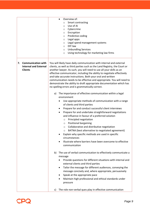|                                                                                   | Overview of:<br>$\bullet$<br>Smart contracting<br>$\circ$<br>Use of AI<br>$\circ$<br>Cybercrime<br>O<br>Encryption<br>O<br>Predictive coding<br>O<br>Legal apps<br>O<br>Legal spend management systems<br>O<br>DIY law<br>$\circ$<br><b>Unbundling Services</b><br>O<br>Using technology for marketing law firms<br>$\circ$                                                                                                                                                                                                                                                                                                                                                                                                                                                                                                                                                                                                                                                                                                                                                                                                                                                                                                                                                                                                                                                                                                                                                                                                                                                                                                                                                                                                                                                                                    |
|-----------------------------------------------------------------------------------|----------------------------------------------------------------------------------------------------------------------------------------------------------------------------------------------------------------------------------------------------------------------------------------------------------------------------------------------------------------------------------------------------------------------------------------------------------------------------------------------------------------------------------------------------------------------------------------------------------------------------------------------------------------------------------------------------------------------------------------------------------------------------------------------------------------------------------------------------------------------------------------------------------------------------------------------------------------------------------------------------------------------------------------------------------------------------------------------------------------------------------------------------------------------------------------------------------------------------------------------------------------------------------------------------------------------------------------------------------------------------------------------------------------------------------------------------------------------------------------------------------------------------------------------------------------------------------------------------------------------------------------------------------------------------------------------------------------------------------------------------------------------------------------------------------------|
| <b>Communication with</b><br>7.<br><b>Internal and External</b><br><b>Clients</b> | You will likely have daily communication with internal and external<br>clients, as well as third parties such as the Land Registry, the Court or<br>another lawyer. As such, you will need to use all your skills as an<br>effective communicator, including the ability to negotiate effectively<br>and take accurate instructions. Both your oral and written<br>communication needs to be effective and appropriate. You will need to<br>demonstrate the ability to draft appropriate documentation which has<br>no spelling errors and is grammatically correct.<br>The importance of effective communication within a legal<br>a)<br>environment<br>Use appropriate methods of communication with a range<br>$\bullet$<br>of clients and third parties<br>Prepare for and conduct successful client interviews<br>٠<br>Prepare for and undertake straightforward negotiations<br>٠<br>and influence in favour of a preferred solution<br>Principled negotiation<br>$\circ$<br>Positional bargaining<br>$\circ$<br>Collaborative and distributive negotiation<br>O<br>BATNA (best alternative to negotiated agreement)<br>O<br>Explain why specific methods are used in specific<br>circumstances<br>Illustrate where barriers have been overcome to effective<br>$\bullet$<br>communication<br>The use of verbal communication to effectively communicate a<br>b)<br>message<br>Provide questions for different situations with internal and<br>external clients and third parties<br>Tailor the message for different audiences, conveying the<br>$\bullet$<br>message concisely and, where appropriate, persuasively<br>Speak at the appropriate pace<br>٠<br>Maintain high professional and ethical standards under<br>٠<br>pressure<br>The role non-verbal ques play in effective communication<br>C) |
|                                                                                   |                                                                                                                                                                                                                                                                                                                                                                                                                                                                                                                                                                                                                                                                                                                                                                                                                                                                                                                                                                                                                                                                                                                                                                                                                                                                                                                                                                                                                                                                                                                                                                                                                                                                                                                                                                                                                |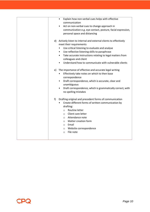| Explain how non-verbal cues helps with effective<br>$\bullet$<br>communication<br>Act on non-verbal cues to change approach in<br>communication e.g. eye contact, posture, facial expression,<br>personal space and distancing                                                                                                                                                                      |
|-----------------------------------------------------------------------------------------------------------------------------------------------------------------------------------------------------------------------------------------------------------------------------------------------------------------------------------------------------------------------------------------------------|
| d) Actively listen to internal and external clients to effectively<br>meet their requirements<br>Use critical listening to evaluate and analyse<br>$\bullet$<br>Use reflective listening skills to paraphrase<br>$\bullet$<br>Take accurate instructions relating to legal matters from<br>$\bullet$<br>colleagues and client<br>Understand how to communicate with vulnerable clients<br>$\bullet$ |
| e) The importance of effective and accurate legal writing<br>Effectively take notes on which to then base<br>correspondence<br>Draft correspondence, which is accurate, clear and<br>$\bullet$<br>unambiguous<br>Draft correspondence, which is grammatically correct, with<br>$\bullet$<br>no spelling mistakes                                                                                    |
| Drafting original and precedent forms of communication<br>f)<br>Create different forms of written communication by<br>drafting:<br>Routine letter<br>$\circ$<br>Client care letter<br>$\circ$<br>o Attendance note<br>Matter creation form<br>$\circ$<br>o Email<br>Website correspondence<br>$\circ$<br>File note<br>$\circ$                                                                       |

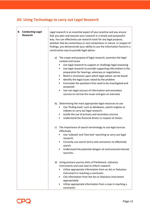## **A5: Using Technology to carry out Legal Research**

| 8. Conducting Legal<br><b>Research</b> | Legal research is an essential aspect of your practice and you ensure<br>that you plan and execute your research in a timely and purposeful<br>way. You can effectively use research tools for any legal purpose,<br>whether that be contentious or non-contentious in nature. In respect of<br>findings, you demonstrate your ability to use the information found in a<br>constructive way to provide legal advice.                                                                                                                                                                                                              |
|----------------------------------------|------------------------------------------------------------------------------------------------------------------------------------------------------------------------------------------------------------------------------------------------------------------------------------------------------------------------------------------------------------------------------------------------------------------------------------------------------------------------------------------------------------------------------------------------------------------------------------------------------------------------------------|
|                                        | a) The scope and purpose of legal research, ascertain the legal<br>context and issues<br>Use legal research to support or challenge legal reasoning<br>Use legal research to provide supporting information in the<br>$\bullet$<br>preparation for hearings, advocacy or negotiations<br>Reach a conclusion upon which legal advice can be based<br>$\bullet$<br>Identify the legal issues raised by the problem<br>$\bullet$<br>Formulate the questions that need to be investigated and<br>٠<br>answered<br>Use non-legal sources of information and secondary<br>$\bullet$<br>sources to narrow the issues and gain an overview |
|                                        | b) Determining the most appropriate legal resources to use<br>Use 'finding tools' such as databases, search engines or<br>٠<br>indexes to carry out legal research.<br>Justify the use of primary and secondary sources.<br>Understand the financial drivers in respect of choice.<br>$\bullet$                                                                                                                                                                                                                                                                                                                                    |
|                                        | c) The importance of search terminology to use legal sources<br>effectively<br>Use 'indexed' and 'free-text' searching to carry out legal<br>research.<br>Correctly use search terms and connectors to effectively<br>search.<br>Understand the potential dangers of unstructured internet<br>searches.                                                                                                                                                                                                                                                                                                                            |
|                                        | Using primary sources (Acts of Parliament, statutory<br>d)<br>instruments and case law) to inform research<br>Utilise appropriate information from an Act or Statutory<br>Instrument in reaching a conclusion<br>Cite information from the Act or Statutory Instrument<br>appropriately<br>Utilise appropriate information from a case in reaching a<br>conclusion                                                                                                                                                                                                                                                                 |

 $\Gamma$